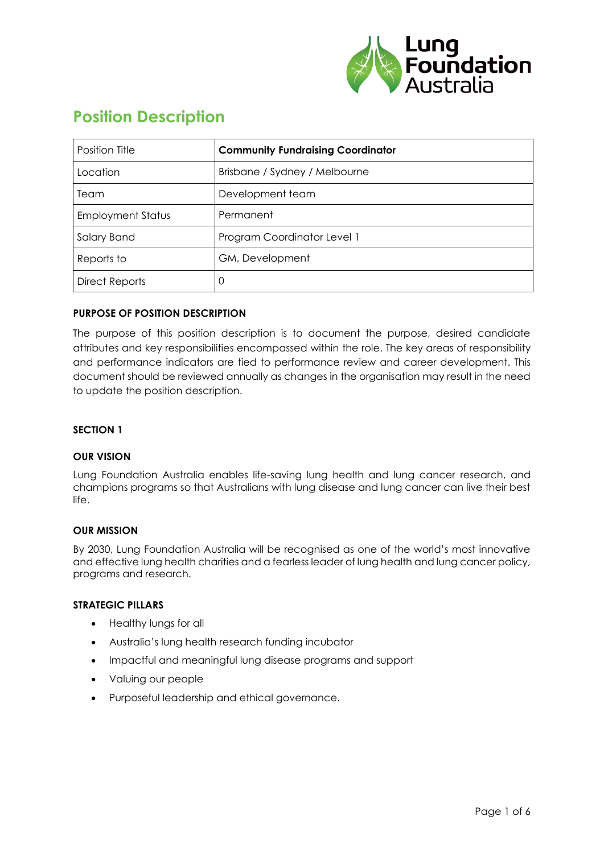

# **Position Description**

| Position Title           | <b>Community Fundraising Coordinator</b> |
|--------------------------|------------------------------------------|
| Location                 | Brisbane / Sydney / Melbourne            |
| Team                     | Development team                         |
| <b>Employment Status</b> | Permanent                                |
| Salary Band              | Program Coordinator Level 1              |
| Reports to               | GM, Development                          |
| <b>Direct Reports</b>    | 0                                        |

# **PURPOSE OF POSITION DESCRIPTION**

The purpose of this position description is to document the purpose, desired candidate attributes and key responsibilities encompassed within the role. The key areas of responsibility and performance indicators are tied to performance review and career development. This document should be reviewed annually as changes in the organisation may result in the need to update the position description.

#### **SECTION 1**

#### **OUR VISION**

Lung Foundation Australia enables life-saving lung health and lung cancer research, and champions programs so that Australians with lung disease and lung cancer can live their best life.

#### **OUR MISSION**

By 2030, Lung Foundation Australia will be recognised as one of the world's most innovative and effective lung health charities and a fearless leader of lung health and lung cancer policy, programs and research.

#### **STRATEGIC PILLARS**

- Healthy lungs for all
- Australia's lung health research funding incubator
- Impactful and meaningful lung disease programs and support
- Valuing our people
- Purposeful leadership and ethical governance.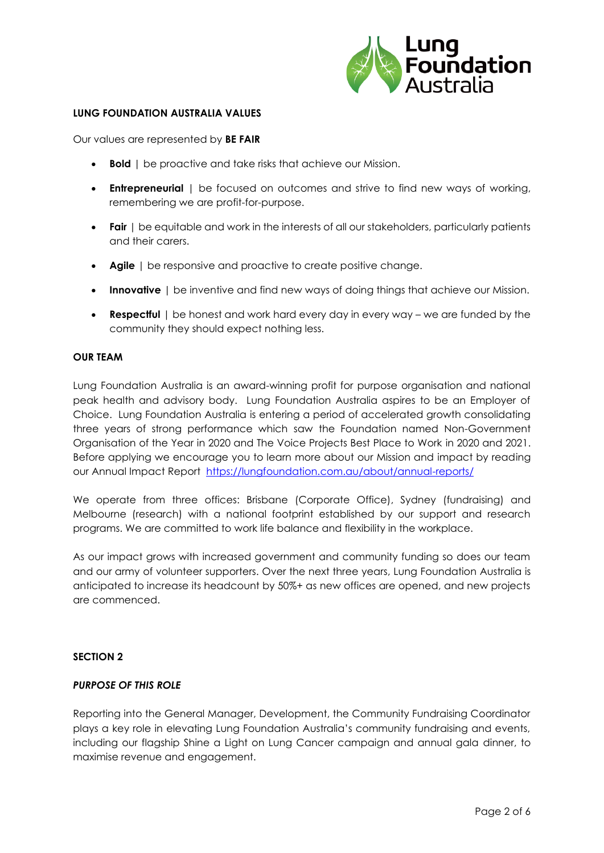

#### **LUNG FOUNDATION AUSTRALIA VALUES**

Our values are represented by **BE FAIR**

- **Bold** | be proactive and take risks that achieve our Mission.
- **Entrepreneurial** | be focused on outcomes and strive to find new ways of working, remembering we are profit-for-purpose.
- **Fair** | be equitable and work in the interests of all our stakeholders, particularly patients and their carers.
- **Agile** | be responsive and proactive to create positive change.
- **Innovative** | be inventive and find new ways of doing things that achieve our Mission.
- **Respectful** | be honest and work hard every day in every way we are funded by the community they should expect nothing less.

#### **OUR TEAM**

Lung Foundation Australia is an award-winning profit for purpose organisation and national peak health and advisory body. Lung Foundation Australia aspires to be an Employer of Choice. Lung Foundation Australia is entering a period of accelerated growth consolidating three years of strong performance which saw the Foundation named Non-Government Organisation of the Year in 2020 and The Voice Projects Best Place to Work in 2020 and 2021. Before applying we encourage you to learn more about our Mission and impact by reading our Annual Impact Report <https://lungfoundation.com.au/about/annual-reports/>

We operate from three offices: Brisbane (Corporate Office), Sydney (fundraising) and Melbourne (research) with a national footprint established by our support and research programs. We are committed to work life balance and flexibility in the workplace.

As our impact grows with increased government and community funding so does our team and our army of volunteer supporters. Over the next three years, Lung Foundation Australia is anticipated to increase its headcount by 50%+ as new offices are opened, and new projects are commenced.

#### **SECTION 2**

#### *PURPOSE OF THIS ROLE*

Reporting into the General Manager, Development, the Community Fundraising Coordinator plays a key role in elevating Lung Foundation Australia's community fundraising and events, including our flagship Shine a Light on Lung Cancer campaign and annual gala dinner, to maximise revenue and engagement.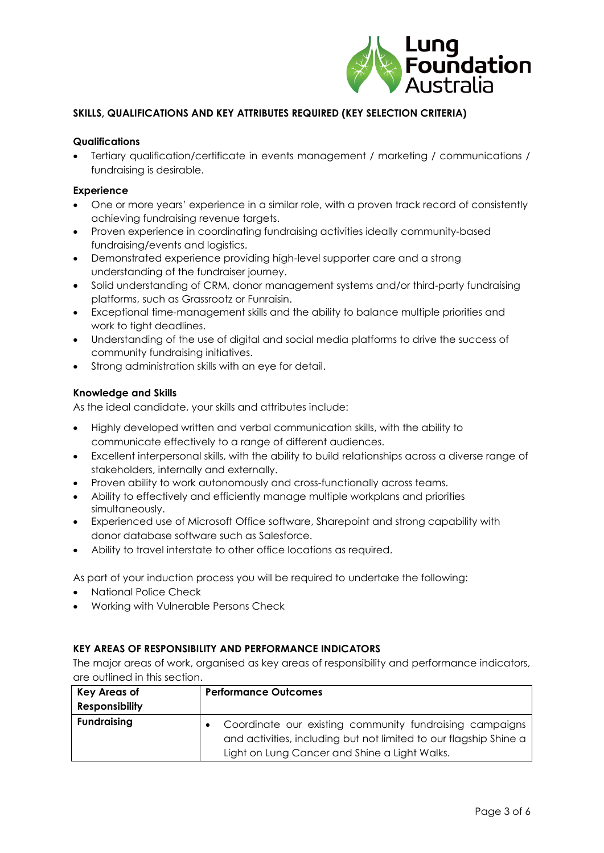

# **SKILLS, QUALIFICATIONS AND KEY ATTRIBUTES REQUIRED (KEY SELECTION CRITERIA)**

#### **Qualifications**

• Tertiary qualification/certificate in events management / marketing / communications / fundraising is desirable.

#### **Experience**

- One or more years' experience in a similar role, with a proven track record of consistently achieving fundraising revenue targets.
- Proven experience in coordinating fundraising activities ideally community-based fundraising/events and logistics.
- Demonstrated experience providing high-level supporter care and a strong understanding of the fundraiser journey.
- Solid understanding of CRM, donor management systems and/or third-party fundraising platforms, such as Grassrootz or Funraisin.
- Exceptional time-management skills and the ability to balance multiple priorities and work to tight deadlines.
- Understanding of the use of digital and social media platforms to drive the success of community fundraising initiatives.
- Strong administration skills with an eye for detail.

#### **Knowledge and Skills**

As the ideal candidate, your skills and attributes include:

- Highly developed written and verbal communication skills, with the ability to communicate effectively to a range of different audiences.
- Excellent interpersonal skills, with the ability to build relationships across a diverse range of stakeholders, internally and externally.
- Proven ability to work autonomously and cross-functionally across teams.
- Ability to effectively and efficiently manage multiple workplans and priorities simultaneously.
- Experienced use of Microsoft Office software, Sharepoint and strong capability with donor database software such as Salesforce.
- Ability to travel interstate to other office locations as required.

As part of your induction process you will be required to undertake the following:

- National Police Check
- Working with Vulnerable Persons Check

#### **KEY AREAS OF RESPONSIBILITY AND PERFORMANCE INDICATORS**

The major areas of work, organised as key areas of responsibility and performance indicators, are outlined in this section.

| <b>Key Areas of</b><br><b>Responsibility</b> | <b>Performance Outcomes</b>                                                                                                                                                   |
|----------------------------------------------|-------------------------------------------------------------------------------------------------------------------------------------------------------------------------------|
| <b>Fundraising</b>                           | Coordinate our existing community fundraising campaigns<br>and activities, including but not limited to our flagship Shine a<br>Light on Lung Cancer and Shine a Light Walks. |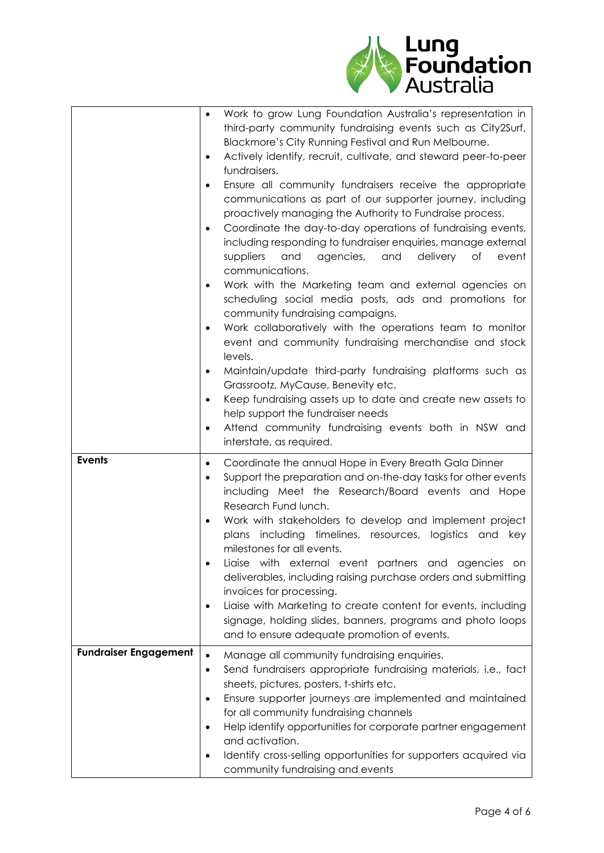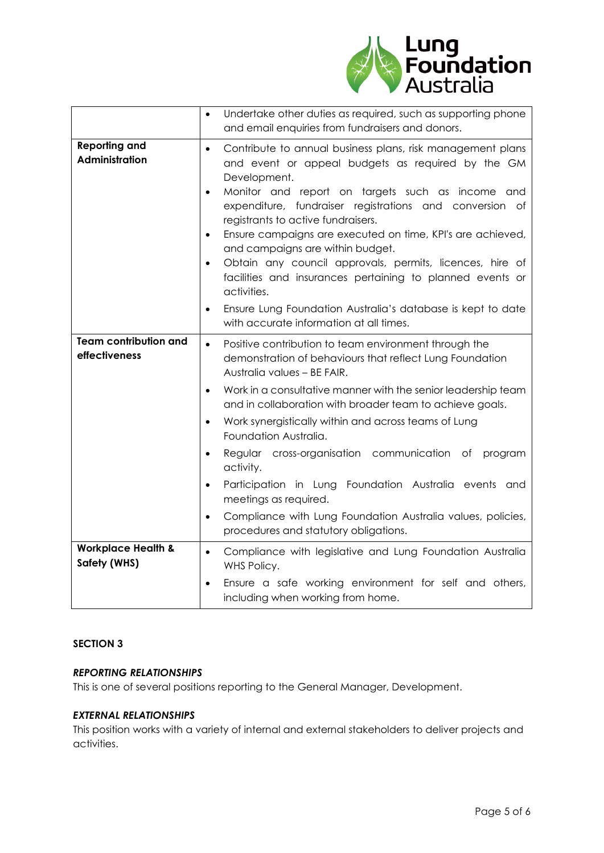

|                                               | Undertake other duties as required, such as supporting phone<br>$\bullet$<br>and email enquiries from fundraisers and donors.                                                                                                                                                                                                                                                                                                                                                                                                                                                      |
|-----------------------------------------------|------------------------------------------------------------------------------------------------------------------------------------------------------------------------------------------------------------------------------------------------------------------------------------------------------------------------------------------------------------------------------------------------------------------------------------------------------------------------------------------------------------------------------------------------------------------------------------|
| <b>Reporting and</b><br>Administration        | Contribute to annual business plans, risk management plans<br>$\bullet$<br>and event or appeal budgets as required by the GM<br>Development.<br>Monitor and report on targets such as income and<br>$\bullet$<br>expenditure, fundraiser registrations and conversion of<br>registrants to active fundraisers.<br>Ensure campaigns are executed on time, KPI's are achieved,<br>$\bullet$<br>and campaigns are within budget.<br>Obtain any council approvals, permits, licences, hire of<br>$\bullet$<br>facilities and insurances pertaining to planned events or<br>activities. |
|                                               | Ensure Lung Foundation Australia's database is kept to date<br>$\bullet$<br>with accurate information at all times.                                                                                                                                                                                                                                                                                                                                                                                                                                                                |
| <b>Team contribution and</b><br>effectiveness | Positive contribution to team environment through the<br>$\bullet$<br>demonstration of behaviours that reflect Lung Foundation<br>Australia values - BE FAIR.                                                                                                                                                                                                                                                                                                                                                                                                                      |
|                                               | Work in a consultative manner with the senior leadership team<br>$\bullet$<br>and in collaboration with broader team to achieve goals.                                                                                                                                                                                                                                                                                                                                                                                                                                             |
|                                               | Work synergistically within and across teams of Lung<br>$\bullet$<br>Foundation Australia.                                                                                                                                                                                                                                                                                                                                                                                                                                                                                         |
|                                               | Regular cross-organisation communication<br>of<br>program<br>$\bullet$<br>activity.                                                                                                                                                                                                                                                                                                                                                                                                                                                                                                |
|                                               | Participation in Lung Foundation Australia events and<br>$\bullet$<br>meetings as required.                                                                                                                                                                                                                                                                                                                                                                                                                                                                                        |
|                                               | Compliance with Lung Foundation Australia values, policies,<br>$\bullet$<br>procedures and statutory obligations.                                                                                                                                                                                                                                                                                                                                                                                                                                                                  |
| <b>Workplace Health &amp;</b><br>Safety (WHS) | Compliance with legislative and Lung Foundation Australia<br>$\bullet$<br>WHS Policy.                                                                                                                                                                                                                                                                                                                                                                                                                                                                                              |
|                                               | Ensure a safe working environment for self and others,<br>including when working from home.                                                                                                                                                                                                                                                                                                                                                                                                                                                                                        |

# **SECTION 3**

# *REPORTING RELATIONSHIPS*

This is one of several positions reporting to the General Manager, Development.

# *EXTERNAL RELATIONSHIPS*

This position works with a variety of internal and external stakeholders to deliver projects and activities.